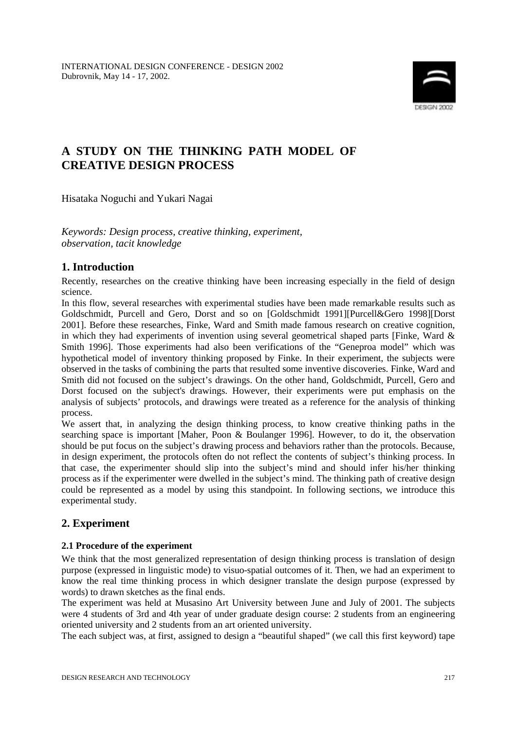

# **A STUDY ON THE THINKING PATH MODEL OF CREATIVE DESIGN PROCESS**

Hisataka Noguchi and Yukari Nagai

*Keywords: Design process, creative thinking, experiment, observation, tacit knowledge* 

## **1. Introduction**

Recently, researches on the creative thinking have been increasing especially in the field of design science.

In this flow, several researches with experimental studies have been made remarkable results such as Goldschmidt, Purcell and Gero, Dorst and so on [Goldschmidt 1991][Purcell&Gero 1998][Dorst 2001]. Before these researches, Finke, Ward and Smith made famous research on creative cognition, in which they had experiments of invention using several geometrical shaped parts [Finke, Ward  $\&$ Smith 1996]. Those experiments had also been verifications of the "Geneproa model" which was hypothetical model of inventory thinking proposed by Finke. In their experiment, the subjects were observed in the tasks of combining the parts that resulted some inventive discoveries. Finke, Ward and Smith did not focused on the subject's drawings. On the other hand, Goldschmidt, Purcell, Gero and Dorst focused on the subject's drawings. However, their experiments were put emphasis on the analysis of subjects' protocols, and drawings were treated as a reference for the analysis of thinking process.

We assert that, in analyzing the design thinking process, to know creative thinking paths in the searching space is important [Maher, Poon & Boulanger 1996]. However, to do it, the observation should be put focus on the subject's drawing process and behaviors rather than the protocols. Because, in design experiment, the protocols often do not reflect the contents of subject's thinking process. In that case, the experimenter should slip into the subject's mind and should infer his/her thinking process as if the experimenter were dwelled in the subject's mind. The thinking path of creative design could be represented as a model by using this standpoint. In following sections, we introduce this experimental study.

## **2. Experiment**

## **2.1 Procedure of the experiment**

We think that the most generalized representation of design thinking process is translation of design purpose (expressed in linguistic mode) to visuo-spatial outcomes of it. Then, we had an experiment to know the real time thinking process in which designer translate the design purpose (expressed by words) to drawn sketches as the final ends.

The experiment was held at Musasino Art University between June and July of 2001. The subjects were 4 students of 3rd and 4th year of under graduate design course: 2 students from an engineering oriented university and 2 students from an art oriented university.

The each subject was, at first, assigned to design a "beautiful shaped" (we call this first keyword) tape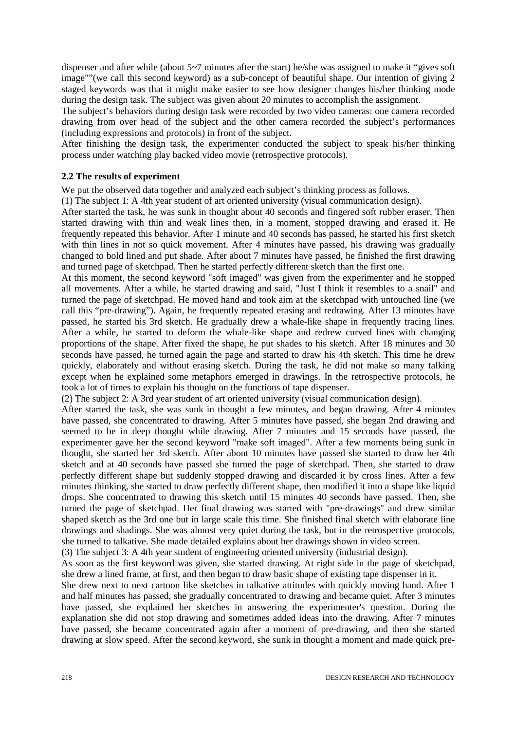dispenser and after while (about 5~7 minutes after the start) he/she was assigned to make it "gives soft image""(we call this second keyword) as a sub-concept of beautiful shape. Our intention of giving 2 staged keywords was that it might make easier to see how designer changes his/her thinking mode during the design task. The subject was given about 20 minutes to accomplish the assignment.

The subject's behaviors during design task were recorded by two video cameras: one camera recorded drawing from over head of the subject and the other camera recorded the subject's performances (including expressions and protocols) in front of the subject.

After finishing the design task, the experimenter conducted the subject to speak his/her thinking process under watching play backed video movie (retrospective protocols).

### **2.2 The results of experiment**

We put the observed data together and analyzed each subject's thinking process as follows.

(1) The subject 1: A 4th year student of art oriented university (visual communication design).

After started the task, he was sunk in thought about 40 seconds and fingered soft rubber eraser. Then started drawing with thin and weak lines then, in a moment, stopped drawing and erased it. He frequently repeated this behavior. After 1 minute and 40 seconds has passed, he started his first sketch with thin lines in not so quick movement. After 4 minutes have passed, his drawing was gradually changed to bold lined and put shade. After about 7 minutes have passed, he finished the first drawing and turned page of sketchpad. Then he started perfectly different sketch than the first one.

At this moment, the second keyword "soft imaged" was given from the experimenter and he stopped all movements. After a while, he started drawing and said, "Just I think it resembles to a snail" and turned the page of sketchpad. He moved hand and took aim at the sketchpad with untouched line (we call this "pre-drawing"). Again, he frequently repeated erasing and redrawing. After 13 minutes have passed, he started his 3rd sketch. He gradually drew a whale-like shape in frequently tracing lines. After a while, he started to deform the whale-like shape and redrew curved lines with changing proportions of the shape. After fixed the shape, he put shades to his sketch. After 18 minutes and 30 seconds have passed, he turned again the page and started to draw his 4th sketch. This time he drew quickly, elaborately and without erasing sketch. During the task, he did not make so many talking except when he explained some metaphors emerged in drawings. In the retrospective protocols, he took a lot of times to explain his thought on the functions of tape dispenser.

(2) The subject 2: A 3rd year student of art oriented university (visual communication design).

After started the task, she was sunk in thought a few minutes, and began drawing. After 4 minutes have passed, she concentrated to drawing. After 5 minutes have passed, she began 2nd drawing and seemed to be in deep thought while drawing. After 7 minutes and 15 seconds have passed, the experimenter gave her the second keyword "make soft imaged". After a few moments being sunk in thought, she started her 3rd sketch. After about 10 minutes have passed she started to draw her 4th sketch and at 40 seconds have passed she turned the page of sketchpad. Then, she started to draw perfectly different shape but suddenly stopped drawing and discarded it by cross lines. After a few minutes thinking, she started to draw perfectly different shape, then modified it into a shape like liquid drops. She concentrated to drawing this sketch until 15 minutes 40 seconds have passed. Then, she turned the page of sketchpad. Her final drawing was started with "pre-drawings" and drew similar shaped sketch as the 3rd one but in large scale this time. She finished final sketch with elaborate line drawings and shadings. She was almost very quiet during the task, but in the retrospective protocols, she turned to talkative. She made detailed explains about her drawings shown in video screen.

(3) The subject 3: A 4th year student of engineering oriented university (industrial design).

As soon as the first keyword was given, she started drawing. At right side in the page of sketchpad, she drew a lined frame, at first, and then began to draw basic shape of existing tape dispenser in it.

She drew next to next cartoon like sketches in talkative attitudes with quickly moving hand. After 1 and half minutes has passed, she gradually concentrated to drawing and became quiet. After 3 minutes have passed, she explained her sketches in answering the experimenter's question. During the explanation she did not stop drawing and sometimes added ideas into the drawing. After 7 minutes have passed, she became concentrated again after a moment of pre-drawing, and then she started drawing at slow speed. After the second keyword, she sunk in thought a moment and made quick pre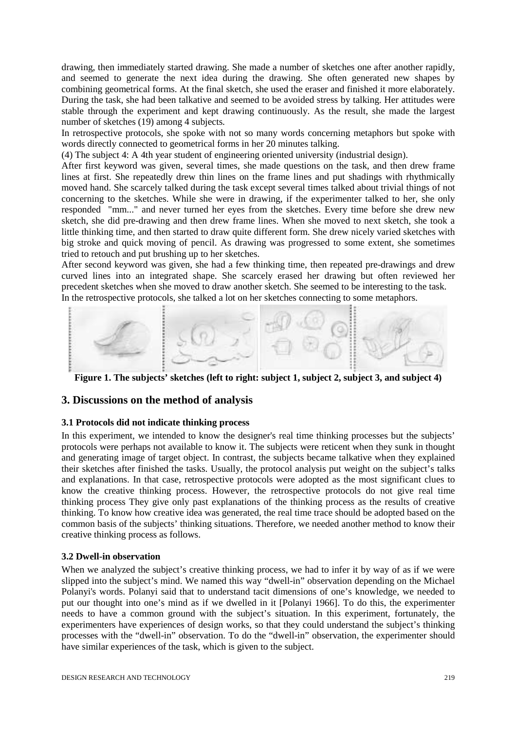drawing, then immediately started drawing. She made a number of sketches one after another rapidly, and seemed to generate the next idea during the drawing. She often generated new shapes by combining geometrical forms. At the final sketch, she used the eraser and finished it more elaborately. During the task, she had been talkative and seemed to be avoided stress by talking. Her attitudes were stable through the experiment and kept drawing continuously. As the result, she made the largest number of sketches (19) among 4 subjects.

In retrospective protocols, she spoke with not so many words concerning metaphors but spoke with words directly connected to geometrical forms in her 20 minutes talking.

(4) The subject 4: A 4th year student of engineering oriented university (industrial design).

After first keyword was given, several times, she made questions on the task, and then drew frame lines at first. She repeatedly drew thin lines on the frame lines and put shadings with rhythmically moved hand. She scarcely talked during the task except several times talked about trivial things of not concerning to the sketches. While she were in drawing, if the experimenter talked to her, she only responded "mm..." and never turned her eyes from the sketches. Every time before she drew new sketch, she did pre-drawing and then drew frame lines. When she moved to next sketch, she took a little thinking time, and then started to draw quite different form. She drew nicely varied sketches with big stroke and quick moving of pencil. As drawing was progressed to some extent, she sometimes tried to retouch and put brushing up to her sketches.

After second keyword was given, she had a few thinking time, then repeated pre-drawings and drew curved lines into an integrated shape. She scarcely erased her drawing but often reviewed her precedent sketches when she moved to draw another sketch. She seemed to be interesting to the task. In the retrospective protocols, she talked a lot on her sketches connecting to some metaphors.



**Figure 1. The subjects' sketches (left to right: subject 1, subject 2, subject 3, and subject 4)** 

## **3. Discussions on the method of analysis**

### **3.1 Protocols did not indicate thinking process**

In this experiment, we intended to know the designer's real time thinking processes but the subjects' protocols were perhaps not available to know it. The subjects were reticent when they sunk in thought and generating image of target object. In contrast, the subjects became talkative when they explained their sketches after finished the tasks. Usually, the protocol analysis put weight on the subject's talks and explanations. In that case, retrospective protocols were adopted as the most significant clues to know the creative thinking process. However, the retrospective protocols do not give real time thinking process They give only past explanations of the thinking process as the results of creative thinking. To know how creative idea was generated, the real time trace should be adopted based on the common basis of the subjects' thinking situations. Therefore, we needed another method to know their creative thinking process as follows.

### **3.2 Dwell-in observation**

When we analyzed the subject's creative thinking process, we had to infer it by way of as if we were slipped into the subject's mind. We named this way "dwell-in" observation depending on the Michael Polanyi's words. Polanyi said that to understand tacit dimensions of one's knowledge, we needed to put our thought into one's mind as if we dwelled in it [Polanyi 1966]. To do this, the experimenter needs to have a common ground with the subject's situation. In this experiment, fortunately, the experimenters have experiences of design works, so that they could understand the subject's thinking processes with the "dwell-in" observation. To do the "dwell-in" observation, the experimenter should have similar experiences of the task, which is given to the subject.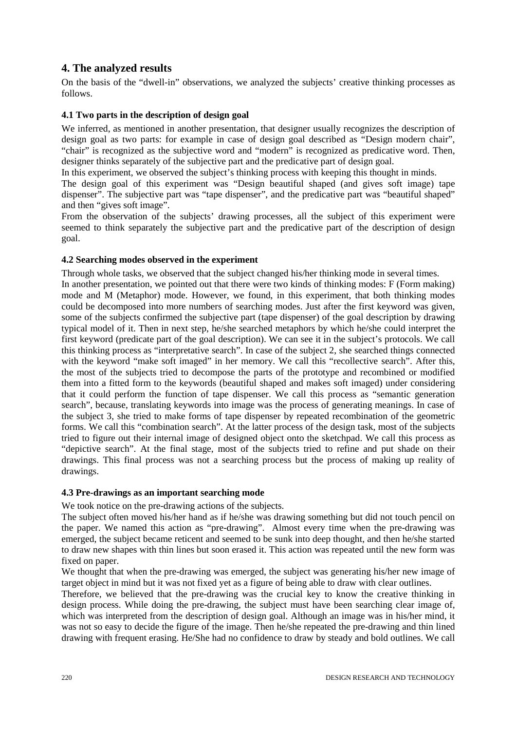## **4. The analyzed results**

On the basis of the "dwell-in" observations, we analyzed the subjects' creative thinking processes as follows.

### **4.1 Two parts in the description of design goal**

We inferred, as mentioned in another presentation, that designer usually recognizes the description of design goal as two parts: for example in case of design goal described as "Design modern chair", "chair" is recognized as the subjective word and "modern" is recognized as predicative word. Then, designer thinks separately of the subjective part and the predicative part of design goal.

In this experiment, we observed the subject's thinking process with keeping this thought in minds.

The design goal of this experiment was "Design beautiful shaped (and gives soft image) tape dispenser". The subjective part was "tape dispenser", and the predicative part was "beautiful shaped" and then "gives soft image".

From the observation of the subjects' drawing processes, all the subject of this experiment were seemed to think separately the subjective part and the predicative part of the description of design goal.

### **4.2 Searching modes observed in the experiment**

Through whole tasks, we observed that the subject changed his/her thinking mode in several times. In another presentation, we pointed out that there were two kinds of thinking modes: F (Form making) mode and M (Metaphor) mode. However, we found, in this experiment, that both thinking modes could be decomposed into more numbers of searching modes. Just after the first keyword was given, some of the subjects confirmed the subjective part (tape dispenser) of the goal description by drawing typical model of it. Then in next step, he/she searched metaphors by which he/she could interpret the first keyword (predicate part of the goal description). We can see it in the subject's protocols. We call this thinking process as "interpretative search". In case of the subject 2, she searched things connected with the keyword "make soft imaged" in her memory. We call this "recollective search". After this, the most of the subjects tried to decompose the parts of the prototype and recombined or modified them into a fitted form to the keywords (beautiful shaped and makes soft imaged) under considering that it could perform the function of tape dispenser. We call this process as "semantic generation search", because, translating keywords into image was the process of generating meanings. In case of the subject 3, she tried to make forms of tape dispenser by repeated recombination of the geometric forms. We call this "combination search". At the latter process of the design task, most of the subjects tried to figure out their internal image of designed object onto the sketchpad. We call this process as "depictive search". At the final stage, most of the subjects tried to refine and put shade on their drawings. This final process was not a searching process but the process of making up reality of drawings.

### **4.3 Pre-drawings as an important searching mode**

We took notice on the pre-drawing actions of the subjects.

The subject often moved his/her hand as if he/she was drawing something but did not touch pencil on the paper. We named this action as "pre-drawing". Almost every time when the pre-drawing was emerged, the subject became reticent and seemed to be sunk into deep thought, and then he/she started to draw new shapes with thin lines but soon erased it. This action was repeated until the new form was fixed on paper.

We thought that when the pre-drawing was emerged, the subject was generating his/her new image of target object in mind but it was not fixed yet as a figure of being able to draw with clear outlines.

Therefore, we believed that the pre-drawing was the crucial key to know the creative thinking in design process. While doing the pre-drawing, the subject must have been searching clear image of, which was interpreted from the description of design goal. Although an image was in his/her mind, it was not so easy to decide the figure of the image. Then he/she repeated the pre-drawing and thin lined drawing with frequent erasing. He/She had no confidence to draw by steady and bold outlines. We call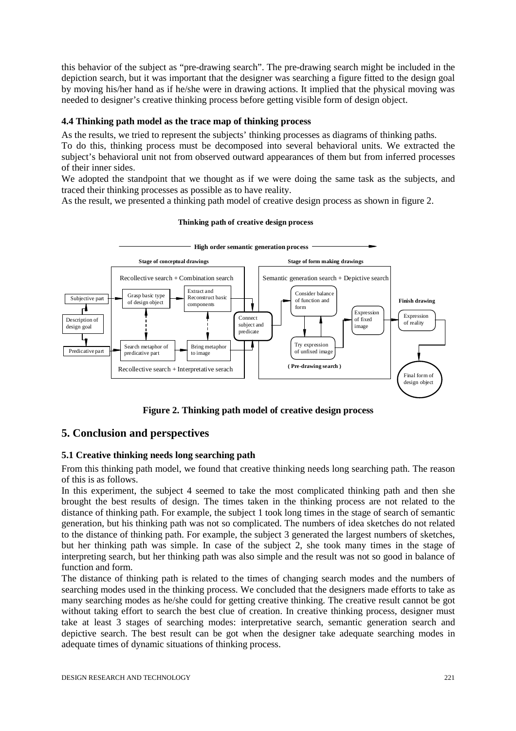this behavior of the subject as "pre-drawing search". The pre-drawing search might be included in the depiction search, but it was important that the designer was searching a figure fitted to the design goal by moving his/her hand as if he/she were in drawing actions. It implied that the physical moving was needed to designer's creative thinking process before getting visible form of design object.

### **4.4 Thinking path model as the trace map of thinking process**

As the results, we tried to represent the subjects' thinking processes as diagrams of thinking paths. To do this, thinking process must be decomposed into several behavioral units. We extracted the subject's behavioral unit not from observed outward appearances of them but from inferred processes

of their inner sides.

We adopted the standpoint that we thought as if we were doing the same task as the subjects, and traced their thinking processes as possible as to have reality.

As the result, we presented a thinking path model of creative design process as shown in figure 2.



#### **Thinking path of creative design process**

**Figure 2. Thinking path model of creative design process** 

## **5. Conclusion and perspectives**

## **5.1 Creative thinking needs long searching path**

From this thinking path model, we found that creative thinking needs long searching path. The reason of this is as follows.

In this experiment, the subject 4 seemed to take the most complicated thinking path and then she brought the best results of design. The times taken in the thinking process are not related to the distance of thinking path. For example, the subject 1 took long times in the stage of search of semantic generation, but his thinking path was not so complicated. The numbers of idea sketches do not related to the distance of thinking path. For example, the subject 3 generated the largest numbers of sketches, but her thinking path was simple. In case of the subject 2, she took many times in the stage of interpreting search, but her thinking path was also simple and the result was not so good in balance of function and form.

The distance of thinking path is related to the times of changing search modes and the numbers of searching modes used in the thinking process. We concluded that the designers made efforts to take as many searching modes as he/she could for getting creative thinking. The creative result cannot be got without taking effort to search the best clue of creation. In creative thinking process, designer must take at least 3 stages of searching modes: interpretative search, semantic generation search and depictive search. The best result can be got when the designer take adequate searching modes in adequate times of dynamic situations of thinking process.